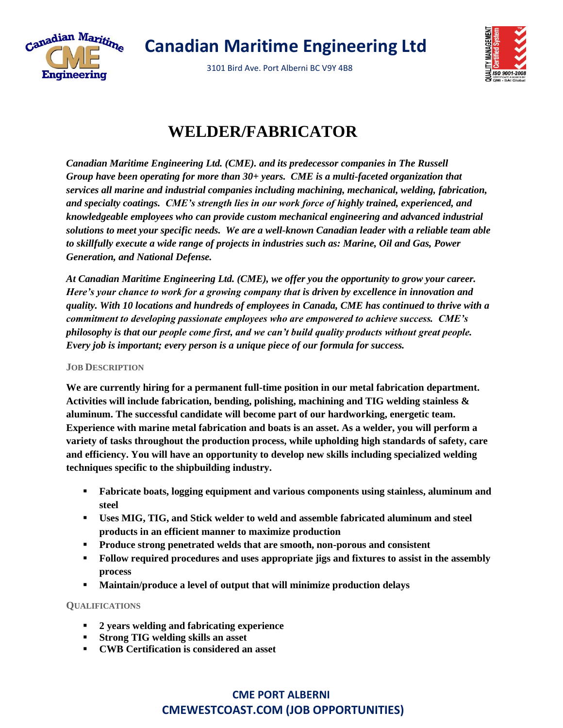

 **Canadian Maritime Engineering Ltd**

3101 Bird Ave. Port Alberni BC V9Y 4B8



## **WELDER/FABRICATOR**

*Canadian Maritime Engineering Ltd. (CME). and its predecessor companies in The Russell Group have been operating for more than 30+ years. CME is a multi-faceted organization that services all marine and industrial companies including machining, mechanical, welding, fabrication, and specialty coatings. CME's strength lies in our work force of highly trained, experienced, and knowledgeable employees who can provide custom mechanical engineering and advanced industrial solutions to meet your specific needs. We are a well-known Canadian leader with a reliable team able to skillfully execute a wide range of projects in industries such as: Marine, Oil and Gas, Power Generation, and National Defense.*

*At Canadian Maritime Engineering Ltd. (CME), we offer you the opportunity to grow your career. Here's your chance to work for a growing company that is driven by excellence in innovation and quality. With 10 locations and hundreds of employees in Canada, CME has continued to thrive with a commitment to developing passionate employees who are empowered to achieve success. CME's philosophy is that our people come first, and we can't build quality products without great people. Every job is important; every person is a unique piece of our formula for success.* 

## **JOB DESCRIPTION**

**We are currently hiring for a permanent full-time position in our metal fabrication department. Activities will include fabrication, bending, polishing, machining and TIG welding stainless & aluminum. The successful candidate will become part of our hardworking, energetic team. Experience with marine metal fabrication and boats is an asset. As a welder, you will perform a variety of tasks throughout the production process, while upholding high standards of safety, care and efficiency. You will have an opportunity to develop new skills including specialized welding techniques specific to the shipbuilding industry.**

- **Fabricate boats, logging equipment and various components using stainless, aluminum and steel**
- **Uses MIG, TIG, and Stick welder to weld and assemble fabricated aluminum and steel products in an efficient manner to maximize production**
- **Produce strong penetrated welds that are smooth, non-porous and consistent**
- **Follow required procedures and uses appropriate jigs and fixtures to assist in the assembly process**
- Maintain/produce a level of output that will minimize production delays

## **QUALIFICATIONS**

- **2 years welding and fabricating experience**
- **Strong TIG welding skills an asset**
- **CWB Certification is considered an asset**

## **CME PORT ALBERNI CMEWESTCOAST.COM (JOB OPPORTUNITIES)**